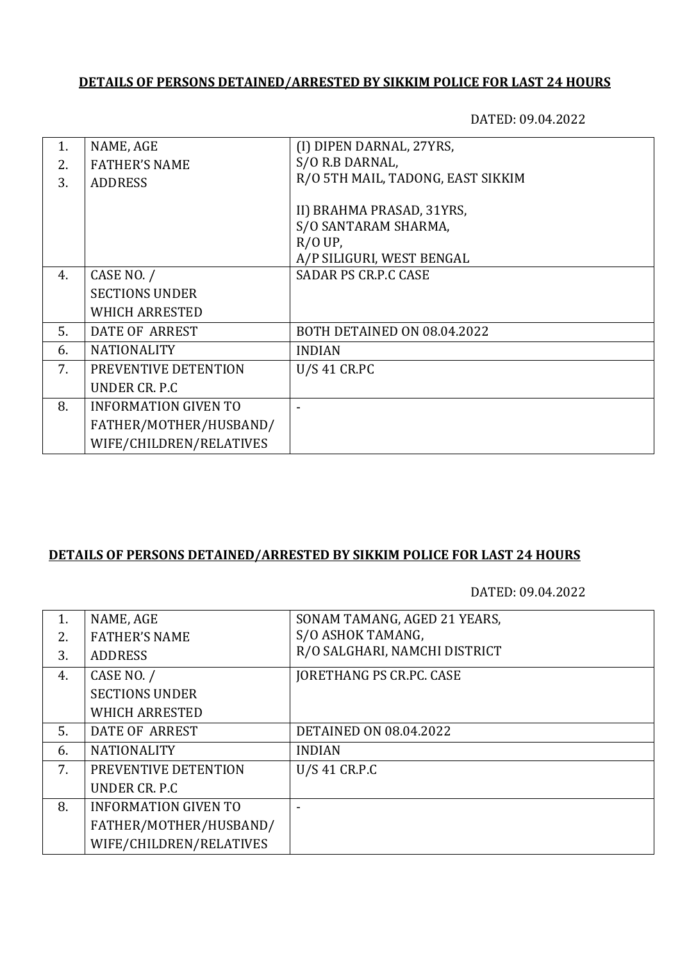## **DETAILS OF PERSONS DETAINED/ARRESTED BY SIKKIM POLICE FOR LAST 24 HOURS**

DATED: 09.04.2022

| 1. | NAME, AGE                   | (I) DIPEN DARNAL, 27YRS,          |
|----|-----------------------------|-----------------------------------|
| 2. | <b>FATHER'S NAME</b>        | S/O R.B DARNAL,                   |
| 3. | <b>ADDRESS</b>              | R/O 5TH MAIL, TADONG, EAST SIKKIM |
|    |                             |                                   |
|    |                             | II) BRAHMA PRASAD, 31YRS,         |
|    |                             | S/O SANTARAM SHARMA,              |
|    |                             | $R/OUP$ ,                         |
|    |                             | A/P SILIGURI, WEST BENGAL         |
| 4. | CASE NO. /                  | <b>SADAR PS CR.P.C CASE</b>       |
|    | <b>SECTIONS UNDER</b>       |                                   |
|    | <b>WHICH ARRESTED</b>       |                                   |
| 5. | DATE OF ARREST              | BOTH DETAINED ON 08.04.2022       |
| 6. | <b>NATIONALITY</b>          | <b>INDIAN</b>                     |
| 7. | PREVENTIVE DETENTION        | <b>U/S 41 CR.PC</b>               |
|    | UNDER CR. P.C.              |                                   |
| 8. | <b>INFORMATION GIVEN TO</b> |                                   |
|    | FATHER/MOTHER/HUSBAND/      |                                   |
|    | WIFE/CHILDREN/RELATIVES     |                                   |
|    |                             |                                   |

## **DETAILS OF PERSONS DETAINED/ARRESTED BY SIKKIM POLICE FOR LAST 24 HOURS**

DATED: 09.04.2022

| 1. | NAME, AGE                   | SONAM TAMANG, AGED 21 YEARS,    |
|----|-----------------------------|---------------------------------|
| 2. | <b>FATHER'S NAME</b>        | S/O ASHOK TAMANG,               |
| 3. | <b>ADDRESS</b>              | R/O SALGHARI, NAMCHI DISTRICT   |
| 4. | CASE NO. /                  | <b>JORETHANG PS CR.PC. CASE</b> |
|    | <b>SECTIONS UNDER</b>       |                                 |
|    | <b>WHICH ARRESTED</b>       |                                 |
| 5. | DATE OF ARREST              | <b>DETAINED ON 08.04.2022</b>   |
| 6. | <b>NATIONALITY</b>          | <b>INDIAN</b>                   |
| 7. | PREVENTIVE DETENTION        | $U/S$ 41 CR.P.C                 |
|    | UNDER CR. P.C.              |                                 |
| 8. | <b>INFORMATION GIVEN TO</b> |                                 |
|    | FATHER/MOTHER/HUSBAND/      |                                 |
|    | WIFE/CHILDREN/RELATIVES     |                                 |